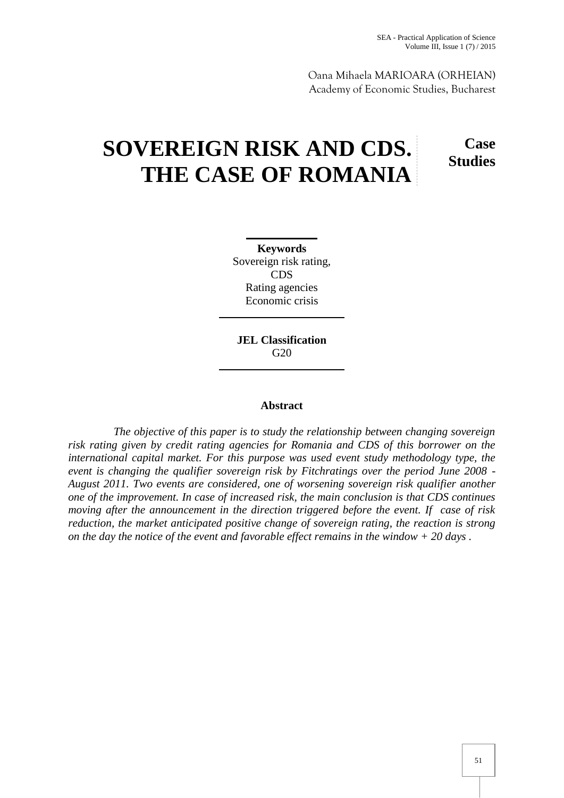Oana Mihaela MARIOARA (ORHEIAN) Academy of Economic Studies, Bucharest

# **SOVEREIGN RISK AND CDS. THE CASE OF ROMANIA**

**Case Studies**

**Keywords** Sovereign risk rating, CDS Rating agencies Economic crisis

**JEL Classification** G20

# **Abstract**

*The objective of this paper is to study the relationship between changing sovereign risk rating given by credit rating agencies for Romania and CDS of this borrower on the international capital market. For this purpose was used event study methodology type, the event is changing the qualifier sovereign risk by Fitchratings over the period June 2008 - August 2011. Two events are considered, one of worsening sovereign risk qualifier another one of the improvement. In case of increased risk, the main conclusion is that CDS continues moving after the announcement in the direction triggered before the event. If case of risk reduction, the market anticipated positive change of sovereign rating, the reaction is strong on the day the notice of the event and favorable effect remains in the window + 20 days .*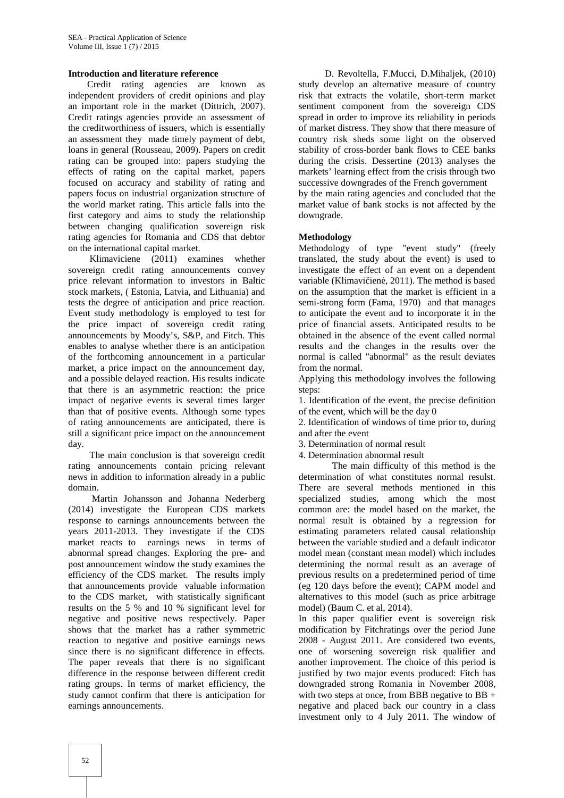### **Introduction and literature reference**

Credit rating agencies are known as independent providers of credit opinions and play an important role in the market (Dittrich, 2007). Credit ratings agencies provide an assessment of the creditworthiness of issuers, which is essentially an assessment they made timely payment of debt, loans in general (Rousseau, 2009). Papers on credit rating can be grouped into: papers studying the effects of rating on the capital market, papers focused on accuracy and stability of rating and papers focus on industrial organization structure of the world market rating. This article falls into the first category and aims to study the relationship between changing qualification sovereign risk rating agencies for Romania and CDS that debtor on the international capital market.

Klimaviciene (2011) examines whether sovereign credit rating announcements convey price relevant information to investors in Baltic stock markets, ( Estonia, Latvia, and Lithuania) and tests the degree of anticipation and price reaction. Event study methodology is employed to test for the price impact of sovereign credit rating announcements by Moody's, S&P, and Fitch. This enables to analyse whether there is an anticipation of the forthcoming announcement in a particular market, a price impact on the announcement day, and a possible delayed reaction. His results indicate that there is an asymmetric reaction: the price impact of negative events is several times larger than that of positive events. Although some types of rating announcements are anticipated, there is still a significant price impact on the announcement day.

The main conclusion is that sovereign credit rating announcements contain pricing relevant news in addition to information already in a public domain.

Martin Johansson and Johanna Nederberg (2014) investigate the European CDS markets response to earnings announcements between the years 2011-2013. They investigate if the CDS market reacts to earnings news in terms of abnormal spread changes. Exploring the pre- and post announcement window the study examines the efficiency of the CDS market. The results imply that announcements provide valuable information to the CDS market, with statistically significant results on the 5 % and 10 % significant level for negative and positive news respectively. Paper shows that the market has a rather symmetric reaction to negative and positive earnings news since there is no significant difference in effects. The paper reveals that there is no significant difference in the response between different credit rating groups. In terms of market efficiency, the study cannot confirm that there is anticipation for earnings announcements.

D. Revoltella, F.Mucci, D.Mihaljek, (2010) study develop an alternative measure of country risk that extracts the volatile, short-term market sentiment component from the sovereign CDS spread in order to improve its reliability in periods of market distress. They show that there measure of country risk sheds some light on the observed stability of cross-border bank flows to CEE banks during the crisis. Dessertine (2013) analyses the markets' learning effect from the crisis through two successive downgrades of the French government by the main rating agencies and concluded that the market value of bank stocks is not affected by the downgrade.

### **Methodology**

Methodology of type "event study" (freely translated, the study about the event) is used to investigate the effect of an event on a dependent variable (Klimavi ien, 2011). The method is based on the assumption that the market is efficient in a semi-strong form (Fama, 1970) and that manages to anticipate the event and to incorporate it in the price of financial assets. Anticipated results to be obtained in the absence of the event called normal results and the changes in the results over the normal is called "abnormal" as the result deviates from the normal.

Applying this methodology involves the following steps:

1. Identification of the event, the precise definition of the event, which will be the day 0

2. Identification of windows of time prior to, during

and after the event 3. Determination of normal result

4. Determination abnormal result

The main difficulty of this method is the determination of what constitutes normal resulst. There are several methods mentioned in this specialized studies, among which the most common are: the model based on the market, the normal result is obtained by a regression for estimating parameters related causal relationship between the variable studied and a default indicator model mean (constant mean model) which includes determining the normal result as an average of previous results on a predetermined period of time (eg 120 days before the event); CAPM model and alternatives to this model (such as price arbitrage model) (Baum C. et al, 2014).

In this paper qualifier event is sovereign risk modification by Fitchratings over the period June 2008 - August 2011. Are considered two events, one of worsening sovereign risk qualifier and another improvement. The choice of this period is justified by two major events produced: Fitch has downgraded strong Romania in November 2008, with two steps at once, from BBB negative to  $BB +$ negative and placed back our country in a class investment only to 4 July 2011. The window of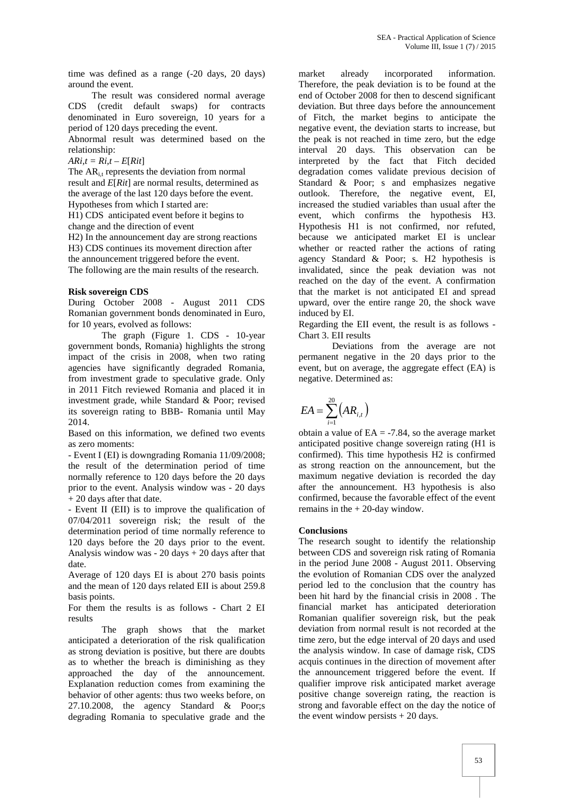time was defined as a range (-20 days, 20 days) around the event.

The result was considered normal average CDS (credit default swaps) for contracts denominated in Euro sovereign, 10 years for a period of 120 days preceding the event.

Abnormal result was determined based on the relationship:

 $ARi, t = Ri, t - E[Rit]$ 

The  $AR_{i,t}$  represents the deviation from normal result and *E*[*Rit*] are normal results, determined as the average of the last 120 days before the event. Hypotheses from which I started are:

H1) CDS anticipated event before it begins to change and the direction of event

H2) In the announcement day are strong reactions H3) CDS continues its movement direction after the announcement triggered before the event. The following are the main results of the research.

# **Risk sovereign CDS**

During October 2008 - August 2011 CDS Romanian government bonds denominated in Euro, for 10 years, evolved as follows:

The graph (Figure 1. CDS - 10-year government bonds, Romania) highlights the strong impact of the crisis in 2008, when two rating agencies have significantly degraded Romania, from investment grade to speculative grade. Only in 2011 Fitch reviewed Romania and placed it in investment grade, while Standard & Poor; revised its sovereign rating to BBB- Romania until May 2014.

Based on this information, we defined two events as zero moments:

- Event I (EI) is downgrading Romania 11/09/2008; the result of the determination period of time normally reference to 120 days before the 20 days prior to the event. Analysis window was - 20 days + 20 days after that date.

- Event II (EII) is to improve the qualification of 07/04/2011 sovereign risk; the result of the determination period of time normally reference to 120 days before the 20 days prior to the event. Analysis window was - 20 days  $+ 20$  days after that date.

Average of 120 days EI is about 270 basis points and the mean of 120 days related EII is about 259.8 basis points.

For them the results is as follows - Chart 2 EI results

The graph shows that the market anticipated a deterioration of the risk qualification as strong deviation is positive, but there are doubts as to whether the breach is diminishing as they approached the day of the announcement. Explanation reduction comes from examining the behavior of other agents: thus two weeks before, on 27.10.2008, the agency Standard & Poor;s degrading Romania to speculative grade and the

market already incorporated information. Therefore, the peak deviation is to be found at the end of October 2008 for then to descend significant deviation. But three days before the announcement of Fitch, the market begins to anticipate the negative event, the deviation starts to increase, but the peak is not reached in time zero, but the edge interval 20 days. This observation can be interpreted by the fact that Fitch decided degradation comes validate previous decision of Standard & Poor; s and emphasizes negative outlook. Therefore, the negative event, EI, increased the studied variables than usual after the event, which confirms the hypothesis H3. Hypothesis H1 is not confirmed, nor refuted, because we anticipated market EI is unclear whether or reacted rather the actions of rating agency Standard & Poor; s. H2 hypothesis is invalidated, since the peak deviation was not reached on the day of the event. A confirmation that the market is not anticipated EI and spread upward, over the entire range 20, the shock wave induced by EI.

Regarding the EII event, the result is as follows - Chart 3. EII results

Deviations from the average are not permanent negative in the 20 days prior to the event, but on average, the aggregate effect (EA) is negative. Determined as:

$$
EA = \sum_{i=1}^{20} \left( AR_{i,t} \right)
$$

obtain a value of  $EA = -7.84$ , so the average market anticipated positive change sovereign rating (H1 is confirmed). This time hypothesis H2 is confirmed as strong reaction on the announcement, but the maximum negative deviation is recorded the day after the announcement. H3 hypothesis is also confirmed, because the favorable effect of the event remains in the + 20-day window.

## **Conclusions**

The research sought to identify the relationship between CDS and sovereign risk rating of Romania in the period June 2008 - August 2011. Observing the evolution of Romanian CDS over the analyzed period led to the conclusion that the country has been hit hard by the financial crisis in 2008 . The financial market has anticipated deterioration Romanian qualifier sovereign risk, but the peak deviation from normal result is not recorded at the time zero, but the edge interval of 20 days and used the analysis window. In case of damage risk, CDS acquis continues in the direction of movement after the announcement triggered before the event. If qualifier improve risk anticipated market average positive change sovereign rating, the reaction is strong and favorable effect on the day the notice of the event window persists  $+ 20$  days.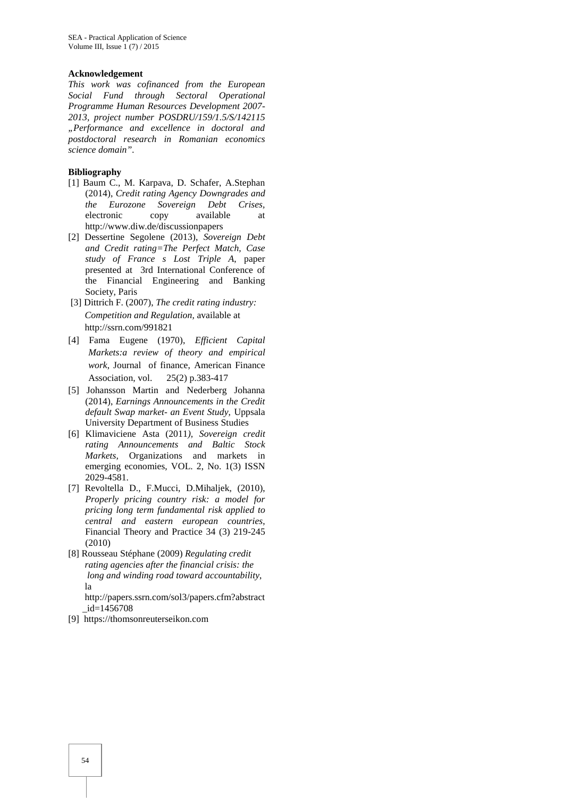#### **Acknowledgement**

*This work was cofinanced from the European Social Fund through Sectoral Operational Programme Human Resources Development 2007- 2013, project number POSDRU/159/1.5/S/142115 "Performance and excellence in doctoral and postdoctoral research in Romanian economics science domain".*

### **Bibliography**

- [1] Baum C., M. Karpava, D. Schafer, A.Stephan (2014), *Credit rating Agency Downgrades and the Eurozone Sovereign Debt Crises,* electronic copy available at http://www.diw.de/discussionpapers
- [2] Dessertine Segolene (2013), *Sovereign Debt and Credit rating=The Perfect Match, Case study of France s Lost Triple A*, paper presented at 3rd International Conference of the Financial Engineering and Banking Society, Paris
- [3] Dittrich F. (2007), *The credit rating industry: Competition and Regulation,* available at http://ssrn.com/991821
- [4] Fama Eugene (1970), *Efficient Capital Markets:a review of theory and empirical work*, Journal of finance, American Finance Association, vol. 25(2) p.383-417
- [5] Johansson Martin and Nederberg Johanna (2014), *Earnings Announcements in the Credit default Swap market- an Event Study,* Uppsala University Department of Business Studies
- [6] Klimaviciene Asta (2011*), Sovereign credit rating Announcements and Baltic Stock Markets,* Organizations and markets in emerging economies, VOL. 2, No. 1(3) ISSN 2029-4581.
- [7] Revoltella D., F.Mucci, D.Mihaljek, (2010), *Properly pricing country risk: a model for pricing long term fundamental risk applied to central and eastern european countries*, Financial Theory and Practice 34 (3) 219-245 (2010)
- [8] Rousseau Stéphane (2009) *Regulating credit rating agencies after the financial crisis: the long and winding road toward accountability*, la

http://papers.ssrn.com/sol3/papers.cfm?abstract \_id=1456708

[9] https://thomsonreuterseikon.com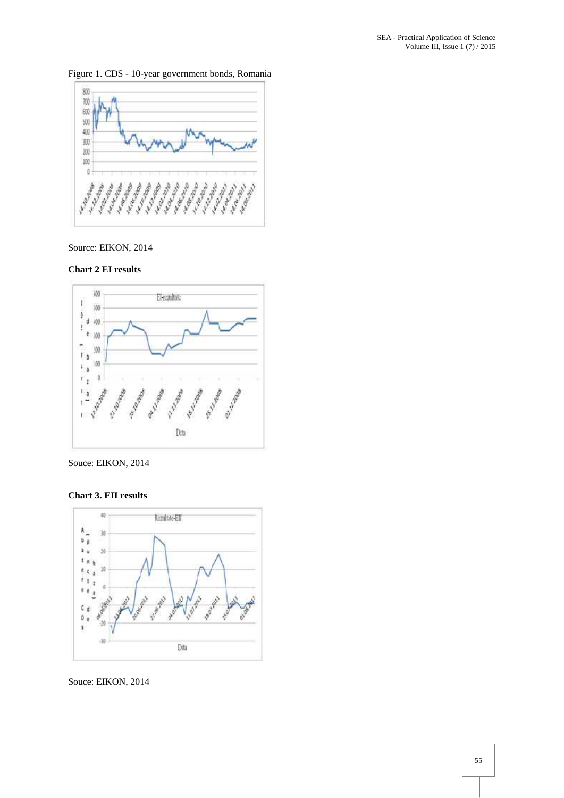800 700 60) NO<sub>1</sub> 400 30)  $200$ 100  $\theta$ A 10 rate A. A. A. a a a a a a a a a a a a Angeland<br>Angeland

Figure 1. CDS - 10-year government bonds, Romania

# Source: EIKON, 2014





Souce: EIKON, 2014

**Chart 3. EII results**



Souce: EIKON, 2014